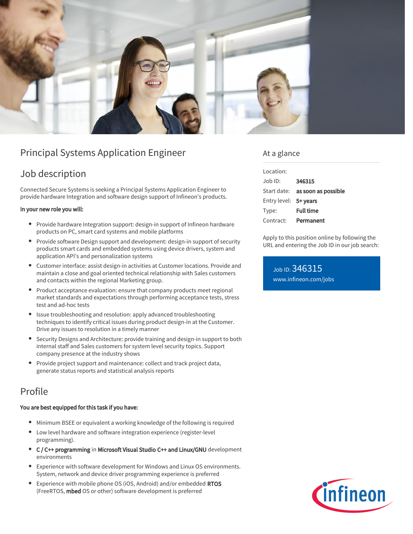

# Principal Systems Application Engineer

## Job description

Connected Secure Systems is seeking a Principal Systems Application Engineer to provide hardware Integration and software design support of Infineon's products.

### In your new role you will:

- Provide hardware Integration support: design-in support of Infineon hardware products on PC, smart card systems and mobile platforms
- Provide software Design support and development: design-in support of security products smart cards and embedded systems using device drivers, system and application API's and personalization systems
- Customer interface: assist design-in activities at Customer locations. Provide and maintain a close and goal oriented technical relationship with Sales customers and contacts within the regional Marketing group.
- Product acceptance evaluation: ensure that company products meet regional market standards and expectations through performing acceptance tests, stress test and ad-hoc tests
- Issue troubleshooting and resolution: apply advanced troubleshooting techniques to identify critical issues during product design-in at the Customer. Drive any issues to resolution in a timely manner
- Security Designs and Architecture: provide training and design-in support to both internal staff and Sales customers for system level security topics. Support company presence at the industry shows
- Provide project support and maintenance: collect and track project data, generate status reports and statistical analysis reports

## Profile

## You are best equipped for this task if you have:

- Minimum BSEE or equivalent a working knowledge of the following is required
- Low level hardware and software integration experience (register-level programming).
- C / C++ programming in Microsoft Visual Studio C++ and Linux/GNU development environments
- Experience with software development for Windows and Linux OS environments. System, network and device driver programming experience is preferred
- Experience with mobile phone OS (iOS, Android) and/or embedded RTOS (FreeRTOS, mbed OS or other) software development is preferred

## At a glance

| Location:             |                                 |
|-----------------------|---------------------------------|
| $Joh$ ID:             | 346315                          |
|                       | Start date: as soon as possible |
| Entry level: 5+ years |                                 |
| Type:                 | <b>Full time</b>                |
| Contract:             | Permanent                       |

Apply to this position online by following the URL and entering the Job ID in our job search:

Job ID: 346315 [www.infineon.com/jobs](https://www.infineon.com/jobs)

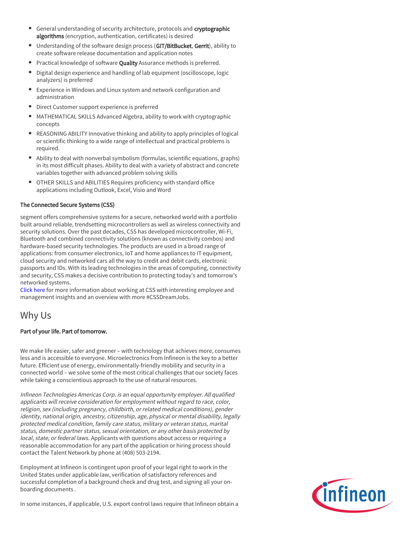- General understanding of security architecture, protocols and cryptographic algorithms (encryption, authentication, certificates) is desired
- Understanding of the software design process (GIT/BitBucket, Gerrit), ability to create software release documentation and application notes
- Practical knowledge of software Quality Assurance methods is preferred.
- Digital design experience and handling of lab equipment (oscilloscope, logic  $\bullet$ analyzers) is preferred
- Experience in Windows and Linux system and network configuration and administration
- Direct Customer support experience is preferred
- MATHEMATICAL SKILLS Advanced Algebra, ability to work with cryptographic concepts
- REASONING ABILITY Innovative thinking and ability to apply principles of logical or scientific thinking to a wide range of intellectual and practical problems is required.
- Ability to deal with nonverbal symbolism (formulas, scientific equations, graphs) in its most difficult phases. Ability to deal with a variety of abstract and concrete variables together with advanced problem solving skills
- OTHER SKILLS and ABILITIES Requires proficiency with standard office applications including Outlook, Excel, Visio and Word

## The Connected Secure Systems (CSS)

segment offers comprehensive systems for a secure, networked world with a portfolio built around reliable, trendsetting microcontrollers as well as wireless connectivity and security solutions. Over the past decades, CSS has developed microcontroller, Wi-Fi, Bluetooth and combined connectivity solutions (known as connectivity combos) and hardware-based security technologies. The products are used in a broad range of applications: from consumer electronics, IoT and home appliances to IT equipment, cloud security and networked cars all the way to credit and debit cards, electronic passports and IDs. With its leading technologies in the areas of computing, connectivity and security, CSS makes a decisive contribution to protecting today's and tomorrow's networked systems.

[Click here](https://www.infineon.com/cms/en/careers/working-at-infineon/cssdreamjob/) for more information about working at CSS with interesting employee and management insights and an overview with more #CSSDreamJobs.

## Why Us

## Part of your life. Part of tomorrow.

We make life easier, safer and greener – with technology that achieves more, consumes less and is accessible to everyone. Microelectronics from Infineon is the key to a better future. Efficient use of energy, environmentally-friendly mobility and security in a connected world – we solve some of the most critical challenges that our society faces while taking a conscientious approach to the use of natural resources.

Infineon Technologies Americas Corp. is an equal opportunity employer. All qualified applicants will receive consideration for employment without regard to race, color, religion, sex (including pregnancy, childbirth, or related medical conditions), gender identity, national origin, ancestry, citizenship, age, physical or mental disability, legally protected medical condition, family care status, military or veteran status, marital status, domestic partner status, sexual orientation, or any other basis protected by local, state, or federal laws. Applicants with questions about access or requiring a reasonable accommodation for any part of the application or hiring process should contact the Talent Network by phone at (408) 503-2194.

Employment at Infineon is contingent upon proof of your legal right to work in the United States under applicable law, verification of satisfactory references and successful completion of a background check and drug test, and signing all your onboarding documents .



In some instances, if applicable, U.S. export control laws require that Infineon obtain a